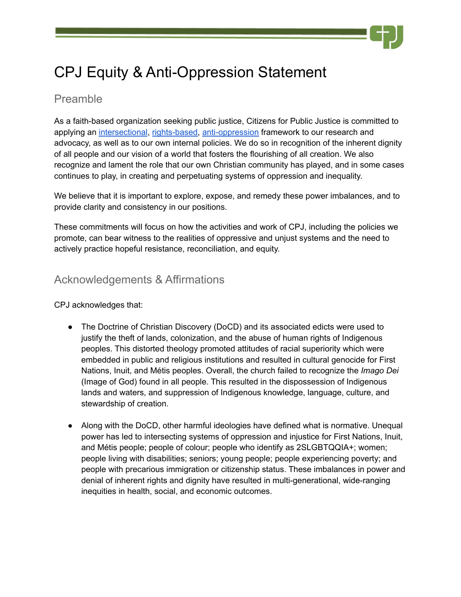# CPJ Equity & Anti-Oppression Statement

## <span id="page-0-0"></span>Preamble

As a faith-based organization seeking public justice, Citizens for Public Justice is committed to applying an intersectional, [rights-based,](#page-3-0) [anti-oppression](#page-3-1) framework to our research and advocacy, as well as to our own internal policies. We do so in recognition of the inherent dignity of all people and our vision of a world that fosters the flourishing of all creation. We also recognize and lament the role that our own Christian community has played, and in some cases continues to play, in creating and perpetuating systems of oppression and inequality.

We believe that it is important to explore, expose, and remedy these power imbalances, and to provide clarity and consistency in our positions.

These commitments will focus on how the activities and work of CPJ, including the policies we promote, can bear witness to the realities of oppressive and unjust systems and the need to actively practice hopeful resistance, reconciliation, and equity.

## Acknowledgements & Affirmations

CPJ acknowledges that:

- The Doctrine of Christian Discovery (DoCD) and its associated edicts were used to justify the theft of lands, colonization, and the abuse of human rights of Indigenous peoples. This distorted theology promoted attitudes of racial superiority which were embedded in public and religious institutions and resulted in cultural genocide for First Nations, Inuit, and Métis peoples. Overall, the church failed to recognize the *Imago Dei* (Image of God) found in all people. This resulted in the dispossession of Indigenous lands and waters, and suppression of Indigenous knowledge, language, culture, and stewardship of creation.
- Along with the DoCD, other harmful ideologies have defined what is normative. Unequal power has led to intersecting systems of oppression and injustice for First Nations, Inuit, and Métis people; people of colour; people who identify as 2SLGBTQQIA+; women; people living with disabilities; seniors; young people; people experiencing poverty; and people with precarious immigration or citizenship status. These imbalances in power and denial of inherent rights and dignity have resulted in multi-generational, wide-ranging inequities in health, social, and economic outcomes.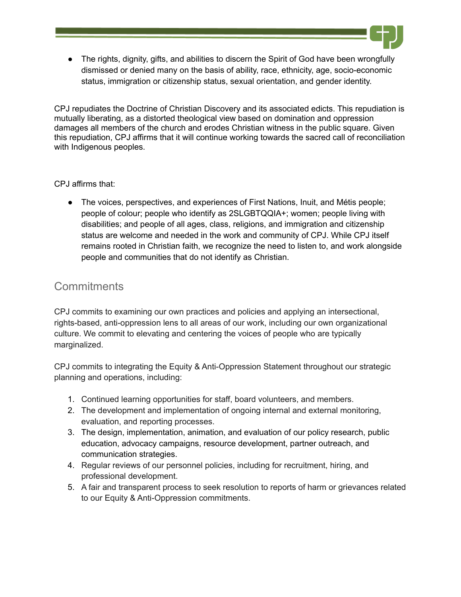• The rights, dignity, gifts, and abilities to discern the Spirit of God have been wrongfully dismissed or denied many on the basis of ability, race, ethnicity, age, socio-economic status, immigration or citizenship status, sexual orientation, and gender identity.

CPJ repudiates the Doctrine of Christian Discovery and its associated edicts. This repudiation is mutually liberating, as a distorted theological view based on domination and oppression damages all members of the church and erodes Christian witness in the public square. Given this repudiation, CPJ affirms that it will continue working towards the sacred call of reconciliation with Indigenous peoples.

#### CPJ affirms that:

● The voices, perspectives, and experiences of First Nations, Inuit, and Métis people; people of colour; people who identify as 2SLGBTQQIA+; women; people living with disabilities; and people of all ages, class, religions, and immigration and citizenship status are welcome and needed in the work and community of CPJ. While CPJ itself remains rooted in Christian faith, we recognize the need to listen to, and work alongside people and communities that do not identify as Christian.

## **Commitments**

CPJ commits to examining our own practices and policies and applying an intersectional, rights-based, anti-oppression lens to all areas of our work, including our own organizational culture. We commit to elevating and centering the voices of people who are typically marginalized.

CPJ commits to integrating the Equity & Anti-Oppression Statement throughout our strategic planning and operations, including:

- 1. Continued learning opportunities for staff, board volunteers, and members.
- 2. The development and implementation of ongoing internal and external monitoring, evaluation, and reporting processes.
- 3. The design, implementation, animation, and evaluation of our policy research, public education, advocacy campaigns, resource development, partner outreach, and communication strategies.
- 4. Regular reviews of our personnel policies, including for recruitment, hiring, and professional development.
- 5. A fair and transparent process to seek resolution to reports of harm or grievances related to our Equity & Anti-Oppression commitments.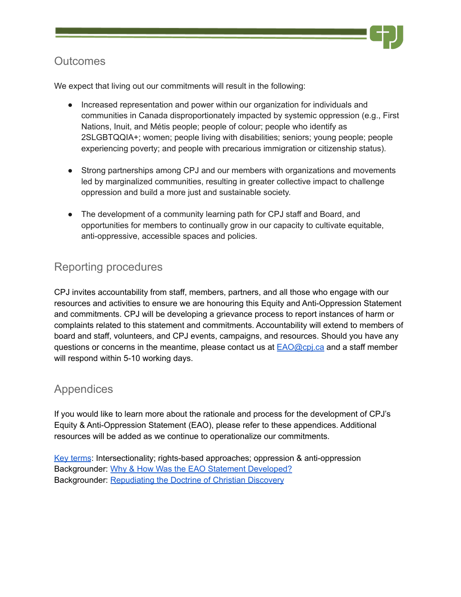## **Outcomes**

We expect that living out our commitments will result in the following:

- Increased representation and power within our organization for individuals and communities in Canada disproportionately impacted by systemic oppression (e.g., First Nations, Inuit, and Métis people; people of colour; people who identify as 2SLGBTQQIA+; women; people living with disabilities; seniors; young people; people experiencing poverty; and people with precarious immigration or citizenship status).
- Strong partnerships among CPJ and our members with organizations and movements led by marginalized communities, resulting in greater collective impact to challenge oppression and build a more just and sustainable society.
- The development of a community learning path for CPJ staff and Board, and opportunities for members to continually grow in our capacity to cultivate equitable, anti-oppressive, accessible spaces and policies.

## Reporting procedures

CPJ invites accountability from staff, members, partners, and all those who engage with our resources and activities to ensure we are honouring this Equity and Anti-Oppression Statement and commitments. CPJ will be developing a grievance process to report instances of harm or complaints related to this statement and commitments. Accountability will extend to members of board and staff, volunteers, and CPJ events, campaigns, and resources. Should you have any questions or concerns in the meantime, please contact us at  $EAO@cpi$  and a staff member will respond within 5-10 working days.

## Appendices

If you would like to learn more about the rationale and process for the development of CPJ's Equity & Anti-Oppression Statement (EAO), please refer to these appendices. Additional resources will be added as we continue to operationalize our commitments.

<span id="page-2-0"></span>Key [terms](#page-2-0): Intersectionality; rights-based approaches; oppression & anti-oppression Backgrounder: Why & How Was the EAO Statement [Developed?](https://docs.google.com/document/u/1/d/1zpgBZyMMr8Tw3YWKk_cfQI3Tx2ItKdEzDZOLWNMsvbI/edit) Backgrounder: [Repudiating](https://docs.google.com/document/u/1/d/1tXW2o6e9UirbEUoM1J8w7qkifS2vDkRg2n8uHCzSj-I/edit) the Doctrine of Christian Discovery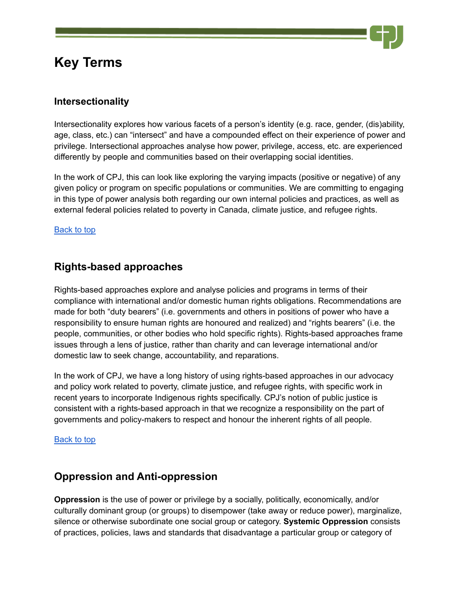## **Key Terms**



Intersectionality explores how various facets of a person's identity (e.g. race, gender, (dis)ability, age, class, etc.) can "intersect" and have a compounded effect on their experience of power and privilege. Intersectional approaches analyse how power, privilege, access, etc. are experienced differently by people and communities based on their overlapping social identities.

In the work of CPJ, this can look like exploring the varying impacts (positive or negative) of any given policy or program on specific populations or communities. We are committing to engaging in this type of power analysis both regarding our own internal policies and practices, as well as external federal policies related to poverty in Canada, climate justice, and refugee rights.

[Back](#page-0-0) to top

### <span id="page-3-0"></span>**Rights-based approaches**

Rights-based approaches explore and analyse policies and programs in terms of their compliance with international and/or domestic human rights obligations. Recommendations are made for both "duty bearers" (i.e. governments and others in positions of power who have a responsibility to ensure human rights are honoured and realized) and "rights bearers" (i.e. the people, communities, or other bodies who hold specific rights). Rights-based approaches frame issues through a lens of justice, rather than charity and can leverage international and/or domestic law to seek change, accountability, and reparations.

In the work of CPJ, we have a long history of using rights-based approaches in our advocacy and policy work related to poverty, climate justice, and refugee rights, with specific work in recent years to incorporate Indigenous rights specifically. CPJ's notion of public justice is consistent with a rights-based approach in that we recognize a responsibility on the part of governments and policy-makers to respect and honour the inherent rights of all people.

#### [Back](#page-0-0) to top

#### <span id="page-3-1"></span>**Oppression and Anti-oppression**

**Oppression** is the use of power or privilege by a socially, politically, economically, and/or culturally dominant group (or groups) to disempower (take away or reduce power), marginalize, silence or otherwise subordinate one social group or category. **Systemic Oppression** consists of practices, policies, laws and standards that disadvantage a particular group or category of